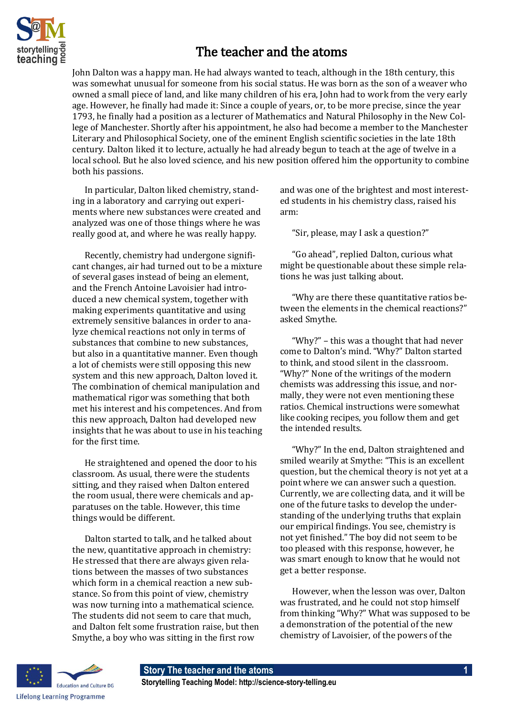

## The teacher and the atoms

John Dalton was a happy man. He had always wanted to teach, although in the 18th century, this was somewhat unusual for someone from his social status. He was born as the son of a weaver who owned a small piece of land, and like many children of his era, John had to work from the very early age. However, he finally had made it: Since a couple of years, or, to be more precise, since the year 1793, he finally had a position as a lecturer of Mathematics and Natural Philosophy in the New College of Manchester. Shortly after his appointment, he also had become a member to the Manchester Literary and Philosophical Society, one of the eminent English scientific societies in the late 18th century. Dalton liked it to lecture, actually he had already begun to teach at the age of twelve in a local school. But he also loved science, and his new position offered him the opportunity to combine both his passions.

In particular, Dalton liked chemistry, standing in a laboratory and carrying out experiments where new substances were created and analyzed was one of those things where he was really good at, and where he was really happy.

Recently, chemistry had undergone significant changes, air had turned out to be a mixture of several gases instead of being an element, and the French Antoine Lavoisier had introduced a new chemical system, together with making experiments quantitative and using extremely sensitive balances in order to analyze chemical reactions not only in terms of substances that combine to new substances, but also in a quantitative manner. Even though a lot of chemists were still opposing this new system and this new approach, Dalton loved it. The combination of chemical manipulation and mathematical rigor was something that both met his interest and his competences. And from this new approach, Dalton had developed new insights that he was about to use in his teaching for the first time.

He straightened and opened the door to his classroom. As usual, there were the students sitting, and they raised when Dalton entered the room usual, there were chemicals and apparatuses on the table. However, this time things would be different.

Dalton started to talk, and he talked about the new, quantitative approach in chemistry: He stressed that there are always given relations between the masses of two substances which form in a chemical reaction a new substance. So from this point of view, chemistry was now turning into a mathematical science. The students did not seem to care that much, and Dalton felt some frustration raise, but then Smythe, a boy who was sitting in the first row

and was one of the brightest and most interested students in his chemistry class, raised his arm:

"Sir, please, may I ask a question?"

"Go ahead", replied Dalton, curious what might be questionable about these simple relations he was just talking about.

"Why are there these quantitative ratios between the elements in the chemical reactions?" asked Smythe.

"Why?" – this was a thought that had never come to Dalton's mind. "Why?" Dalton started to think, and stood silent in the classroom. "Why?" None of the writings of the modern chemists was addressing this issue, and normally, they were not even mentioning these ratios. Chemical instructions were somewhat like cooking recipes, you follow them and get the intended results.

"Why?" In the end, Dalton straightened and smiled wearily at Smythe: "This is an excellent question, but the chemical theory is not yet at a point where we can answer such a question. Currently, we are collecting data, and it will be one of the future tasks to develop the understanding of the underlying truths that explain our empirical findings. You see, chemistry is not yet finished." The boy did not seem to be too pleased with this response, however, he was smart enough to know that he would not get a better response.

However, when the lesson was over, Dalton was frustrated, and he could not stop himself from thinking "Why?" What was supposed to be a demonstration of the potential of the new chemistry of Lavoisier, of the powers of the

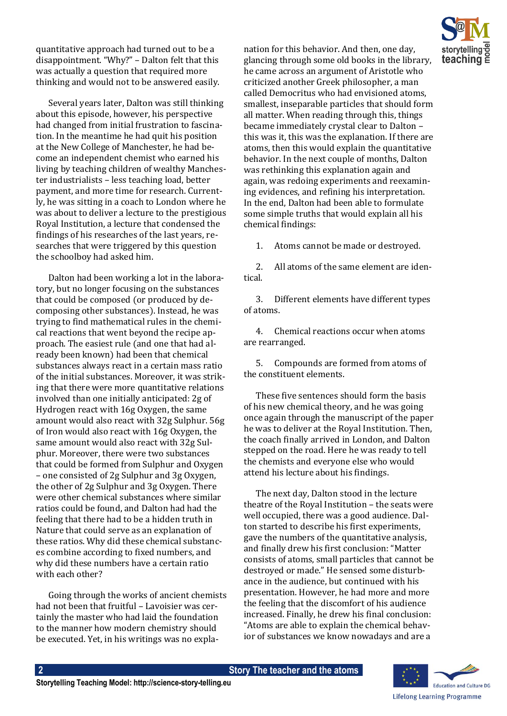quantitative approach had turned out to be a disappointment. "Why?" – Dalton felt that this was actually a question that required more thinking and would not to be answered easily.

Several years later, Dalton was still thinking about this episode, however, his perspective had changed from initial frustration to fascination. In the meantime he had quit his position at the New College of Manchester, he had become an independent chemist who earned his living by teaching children of wealthy Manchester industrialists – less teaching load, better payment, and more time for research. Currently, he was sitting in a coach to London where he was about to deliver a lecture to the prestigious Royal Institution, a lecture that condensed the findings of his researches of the last years, researches that were triggered by this question the schoolboy had asked him.

Dalton had been working a lot in the laboratory, but no longer focusing on the substances that could be composed (or produced by decomposing other substances). Instead, he was trying to find mathematical rules in the chemical reactions that went beyond the recipe approach. The easiest rule (and one that had already been known) had been that chemical substances always react in a certain mass ratio of the initial substances. Moreover, it was striking that there were more quantitative relations involved than one initially anticipated: 2g of Hydrogen react with 16g Oxygen, the same amount would also react with 32g Sulphur. 56g of Iron would also react with 16g Oxygen, the same amount would also react with 32g Sulphur. Moreover, there were two substances that could be formed from Sulphur and Oxygen – one consisted of 2g Sulphur and 3g Oxygen, the other of 2g Sulphur and 3g Oxygen. There were other chemical substances where similar ratios could be found, and Dalton had had the feeling that there had to be a hidden truth in Nature that could serve as an explanation of these ratios. Why did these chemical substances combine according to fixed numbers, and why did these numbers have a certain ratio with each other?

Going through the works of ancient chemists had not been that fruitful – Lavoisier was certainly the master who had laid the foundation to the manner how modern chemistry should be executed. Yet, in his writings was no explanation for this behavior. And then, one day, glancing through some old books in the library, he came across an argument of Aristotle who criticized another Greek philosopher, a man called Democritus who had envisioned atoms, smallest, inseparable particles that should form all matter. When reading through this, things became immediately crystal clear to Dalton – this was it, this was the explanation. If there are atoms, then this would explain the quantitative behavior. In the next couple of months, Dalton was rethinking this explanation again and again, was redoing experiments and reexamining evidences, and refining his interpretation. In the end, Dalton had been able to formulate some simple truths that would explain all his chemical findings:

1. Atoms cannot be made or destroyed.

2. All atoms of the same element are identical.

3. Different elements have different types of atoms.

4. Chemical reactions occur when atoms are rearranged.

5. Compounds are formed from atoms of the constituent elements.

These five sentences should form the basis of his new chemical theory, and he was going once again through the manuscript of the paper he was to deliver at the Royal Institution. Then, the coach finally arrived in London, and Dalton stepped on the road. Here he was ready to tell the chemists and everyone else who would attend his lecture about his findings.

The next day, Dalton stood in the lecture theatre of the Royal Institution – the seats were well occupied, there was a good audience. Dalton started to describe his first experiments, gave the numbers of the quantitative analysis, and finally drew his first conclusion: "Matter consists of atoms, small particles that cannot be destroyed or made." He sensed some disturbance in the audience, but continued with his presentation. However, he had more and more the feeling that the discomfort of his audience increased. Finally, he drew his final conclusion: "Atoms are able to explain the chemical behavior of substances we know nowadays and are a

> **Education and Culture DG Lifelong Learning Programme**